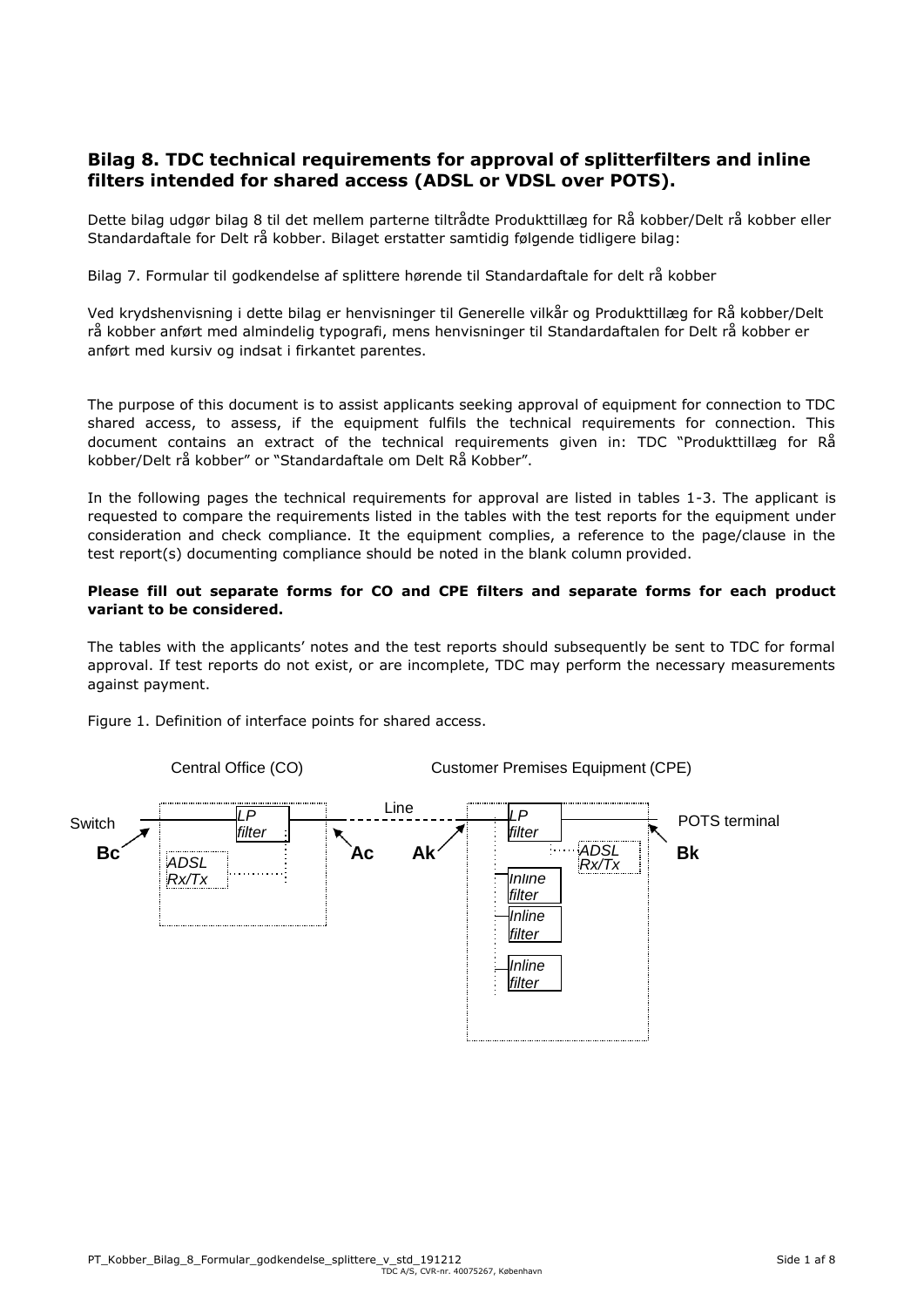#### **Bilag 8. TDC technical requirements for approval of splitterfilters and inline filters intended for shared access (ADSL or VDSL over POTS).**

Dette bilag udgør bilag 8 til det mellem parterne tiltrådte Produkttillæg for Rå kobber/Delt rå kobber eller Standardaftale for Delt rå kobber. Bilaget erstatter samtidig følgende tidligere bilag:

Bilag 7. Formular til godkendelse af splittere hørende til Standardaftale for delt rå kobber

Ved krydshenvisning i dette bilag er henvisninger til Generelle vilkår og Produkttillæg for Rå kobber/Delt rå kobber anført med almindelig typografi, mens henvisninger til Standardaftalen for Delt rå kobber er anført med kursiv og indsat i firkantet parentes.

The purpose of this document is to assist applicants seeking approval of equipment for connection to TDC shared access, to assess, if the equipment fulfils the technical requirements for connection. This document contains an extract of the technical requirements given in: TDC "Produkttillæg for Rå kobber/Delt rå kobber" or "Standardaftale om Delt Rå Kobber".

In the following pages the technical requirements for approval are listed in tables 1-3. The applicant is requested to compare the requirements listed in the tables with the test reports for the equipment under consideration and check compliance. It the equipment complies, a reference to the page/clause in the test report(s) documenting compliance should be noted in the blank column provided.

#### **Please fill out separate forms for CO and CPE filters and separate forms for each product variant to be considered.**

The tables with the applicants' notes and the test reports should subsequently be sent to TDC for formal approval. If test reports do not exist, or are incomplete, TDC may perform the necessary measurements against payment.

Figure 1. Definition of interface points for shared access.

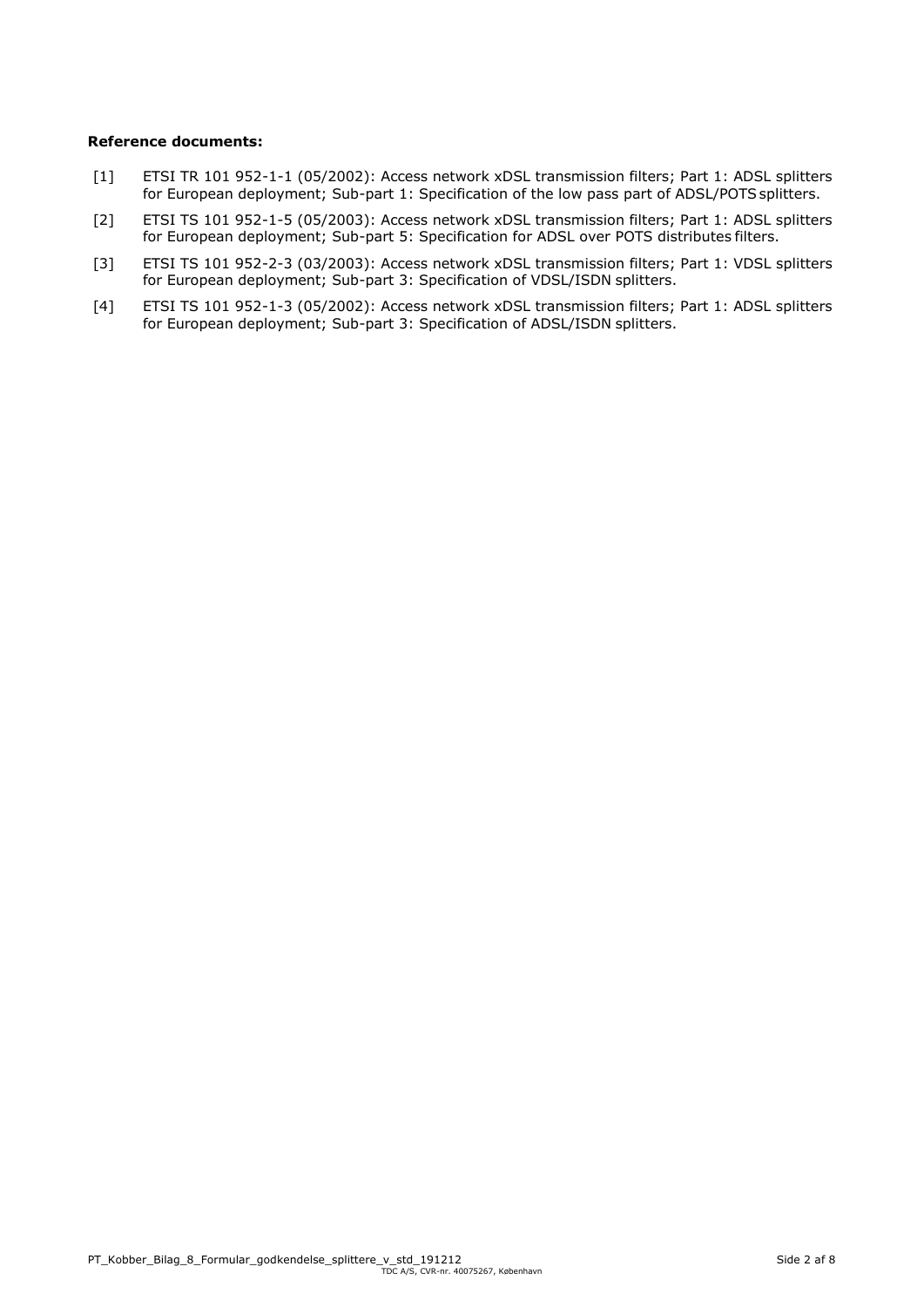#### **Reference documents:**

- [1] ETSI TR 101 952-1-1 (05/2002): Access network xDSL transmission filters; Part 1: ADSL splitters for European deployment; Sub-part 1: Specification of the low pass part of ADSL/POTS splitters.
- [2] ETSI TS 101 952-1-5 (05/2003): Access network xDSL transmission filters; Part 1: ADSL splitters for European deployment; Sub-part 5: Specification for ADSL over POTS distributes filters.
- [3] ETSI TS 101 952-2-3 (03/2003): Access network xDSL transmission filters; Part 1: VDSL splitters for European deployment; Sub-part 3: Specification of VDSL/ISDN splitters.
- [4] ETSI TS 101 952-1-3 (05/2002): Access network xDSL transmission filters; Part 1: ADSL splitters for European deployment; Sub-part 3: Specification of ADSL/ISDN splitters.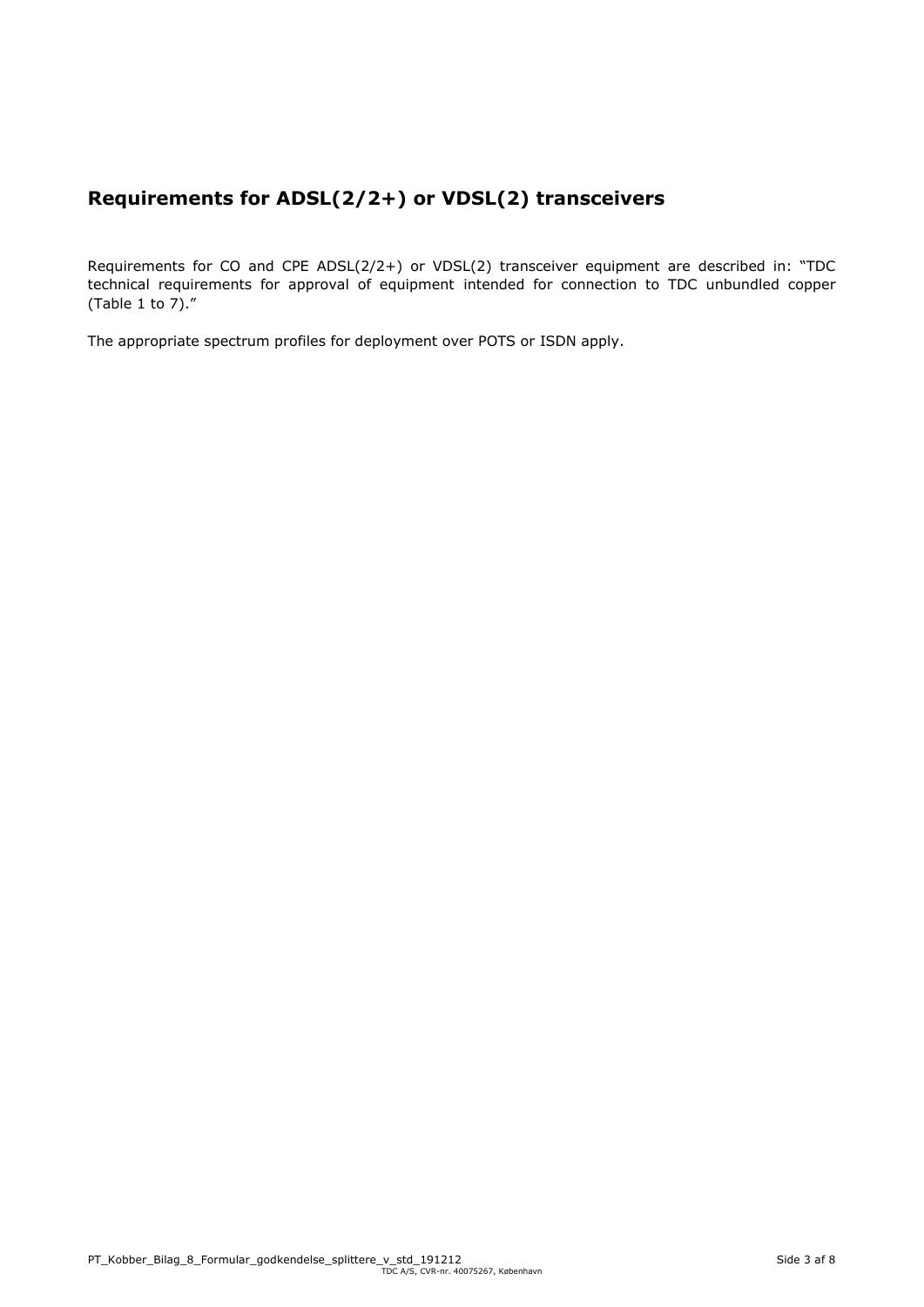# **Requirements for ADSL(2/2+) or VDSL(2) transceivers**

Requirements for CO and CPE ADSL(2/2+) or VDSL(2) transceiver equipment are described in: "TDC technical requirements for approval of equipment intended for connection to TDC unbundled copper (Table 1 to 7)."

The appropriate spectrum profiles for deployment over POTS or ISDN apply.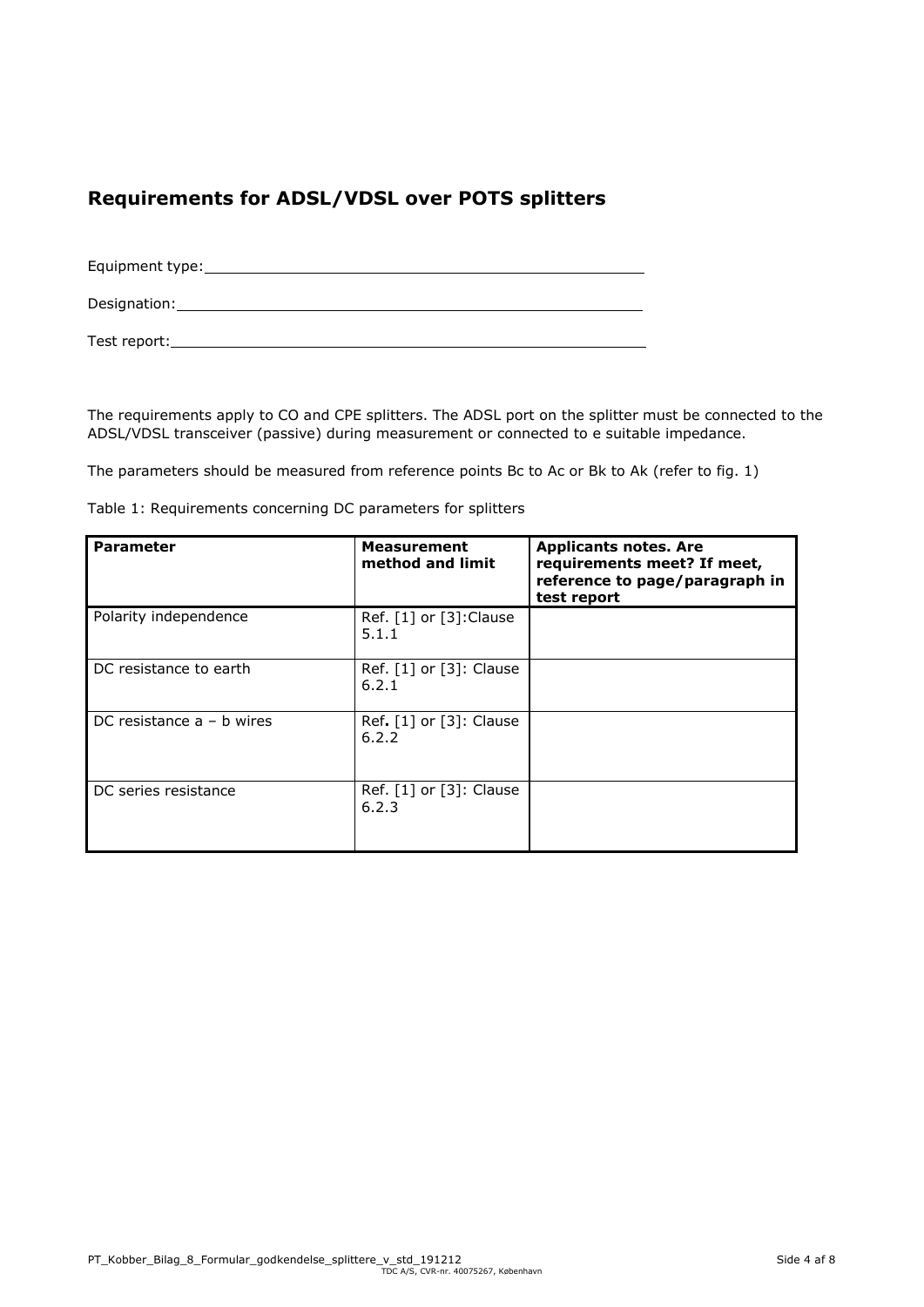# **Requirements for ADSL/VDSL over POTS splitters**

Equipment type: Designation: Designation: Test report:

The requirements apply to CO and CPE splitters. The ADSL port on the splitter must be connected to the ADSL/VDSL transceiver (passive) during measurement or connected to e suitable impedance.

The parameters should be measured from reference points Bc to Ac or Bk to Ak (refer to fig. 1)

| <b>Parameter</b>            | <b>Measurement</b><br>method and limit                        | <b>Applicants notes. Are</b><br>requirements meet? If meet,<br>reference to page/paragraph in<br>test report |
|-----------------------------|---------------------------------------------------------------|--------------------------------------------------------------------------------------------------------------|
| Polarity independence       | Ref. $\lceil 1 \rceil$ or $\lceil 3 \rceil$ : Clause<br>5.1.1 |                                                                                                              |
| DC resistance to earth      | Ref. [1] or [3]: Clause<br>6.2.1                              |                                                                                                              |
| DC resistance $a - b$ wires | Ref. [1] or [3]: Clause<br>6.2.2                              |                                                                                                              |
| DC series resistance        | Ref. [1] or [3]: Clause<br>6.2.3                              |                                                                                                              |

Table 1: Requirements concerning DC parameters for splitters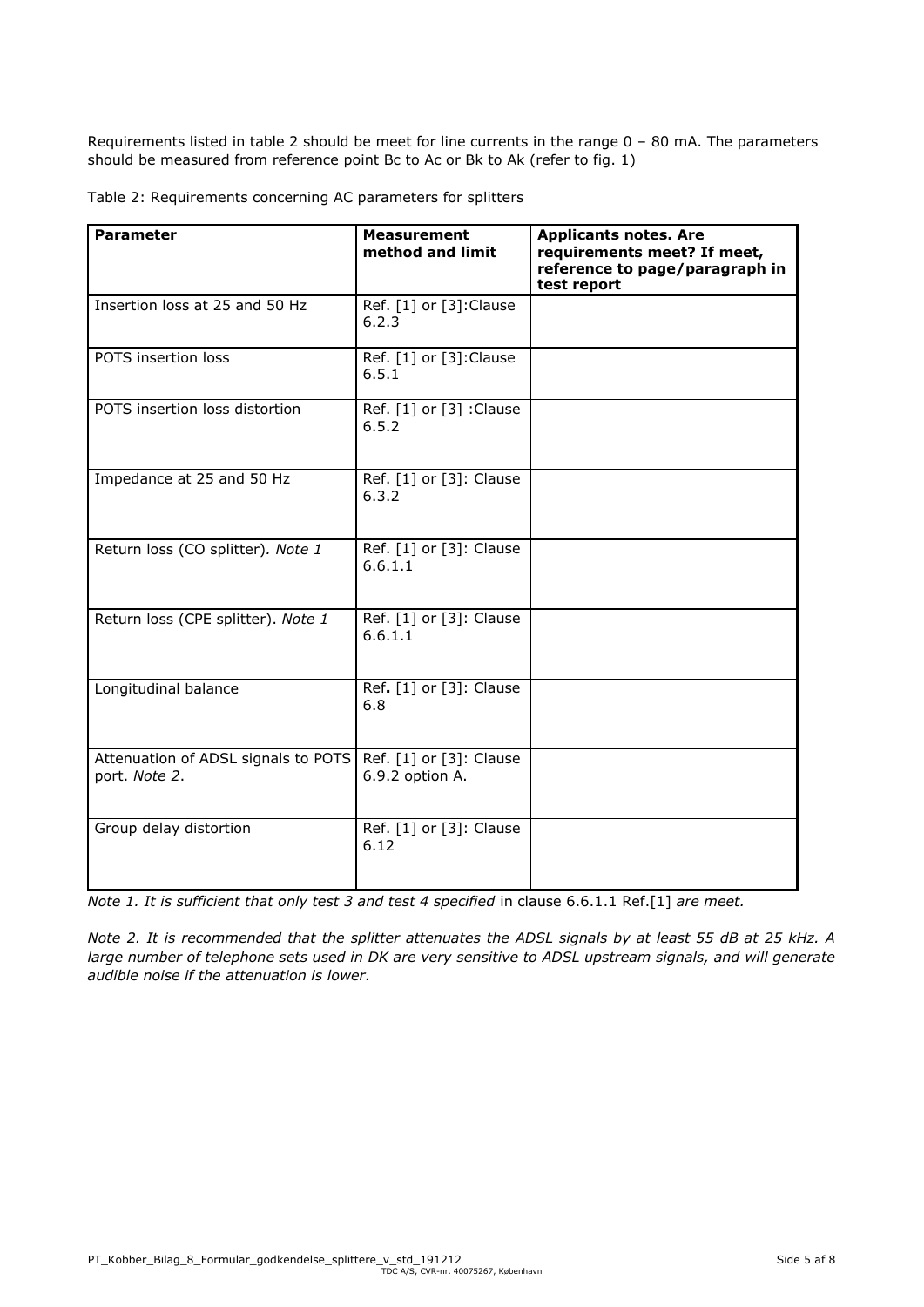Requirements listed in table 2 should be meet for line currents in the range 0 – 80 mA. The parameters should be measured from reference point Bc to Ac or Bk to Ak (refer to fig. 1)

Table 2: Requirements concerning AC parameters for splitters

| <b>Parameter</b>                                     | <b>Measurement</b><br>method and limit     | <b>Applicants notes. Are</b><br>requirements meet? If meet,<br>reference to page/paragraph in<br>test report |
|------------------------------------------------------|--------------------------------------------|--------------------------------------------------------------------------------------------------------------|
| Insertion loss at 25 and 50 Hz                       | Ref. [1] or [3]: Clause<br>6.2.3           |                                                                                                              |
| POTS insertion loss                                  | Ref. [1] or [3]: Clause<br>6.5.1           |                                                                                                              |
| POTS insertion loss distortion                       | Ref. [1] or [3] : Clause<br>6.5.2          |                                                                                                              |
| Impedance at 25 and 50 Hz                            | Ref. [1] or [3]: Clause<br>6.3.2           |                                                                                                              |
| Return loss (CO splitter). Note 1                    | Ref. [1] or [3]: Clause<br>6.6.1.1         |                                                                                                              |
| Return loss (CPE splitter). Note 1                   | Ref. [1] or [3]: Clause<br>6.6.1.1         |                                                                                                              |
| Longitudinal balance                                 | Ref. [1] or [3]: Clause<br>6.8             |                                                                                                              |
| Attenuation of ADSL signals to POTS<br>port. Note 2. | Ref. [1] or [3]: Clause<br>6.9.2 option A. |                                                                                                              |
| Group delay distortion                               | Ref. [1] or [3]: Clause<br>6.12            |                                                                                                              |

*Note 1. It is sufficient that only test 3 and test 4 specified in clause 6.6.1.1 Ref.[1] are meet.* 

*Note 2. It is recommended that the splitter attenuates the ADSL signals by at least 55 dB at 25 kHz. A large number of telephone sets used in DK are very sensitive to ADSL upstream signals, and will generate audible noise if the attenuation is lower.*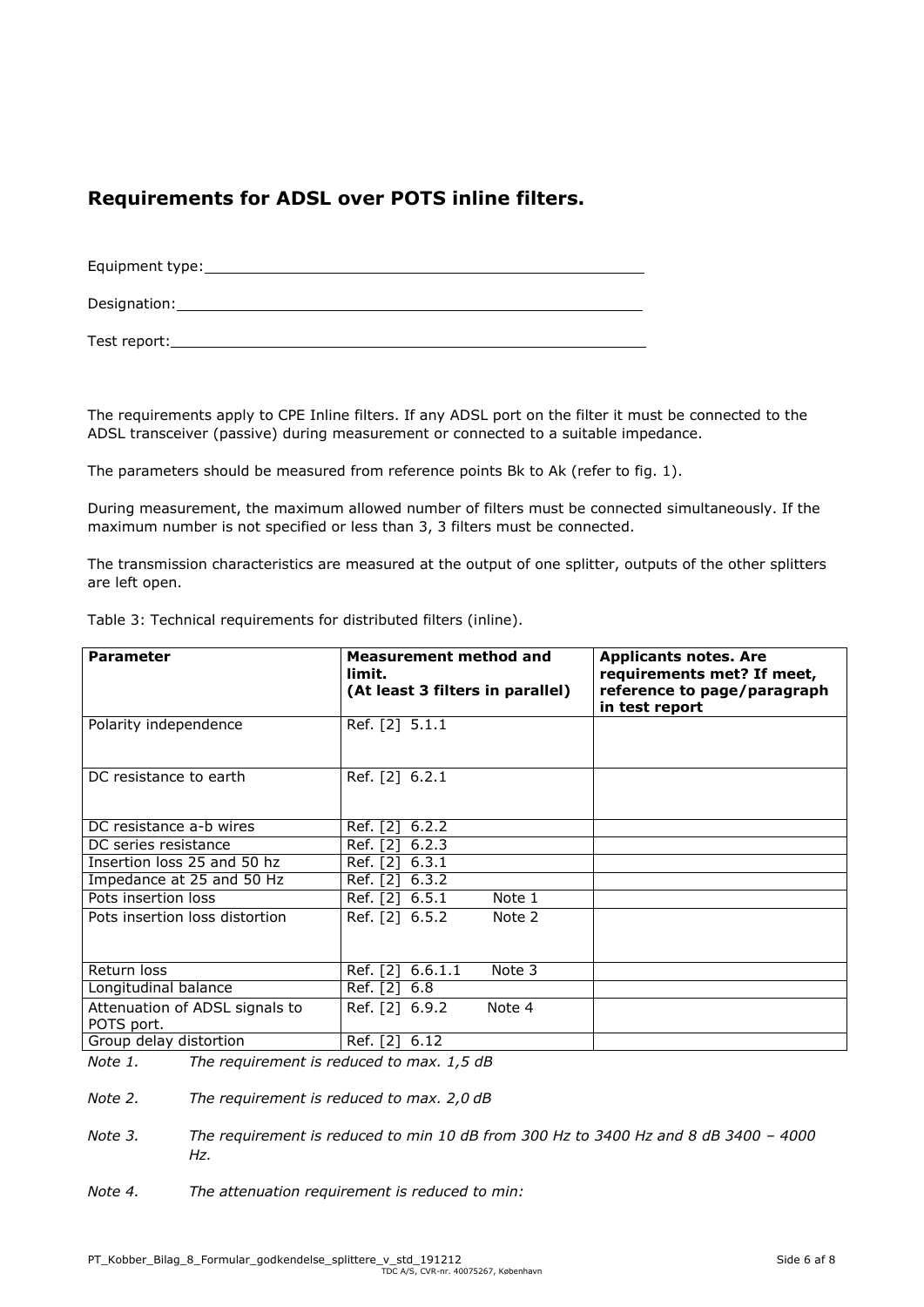### **Requirements for ADSL over POTS inline filters.**

| Equipment type: |  |
|-----------------|--|
| Designation:    |  |
| Test report:    |  |

The requirements apply to CPE Inline filters. If any ADSL port on the filter it must be connected to the ADSL transceiver (passive) during measurement or connected to a suitable impedance.

The parameters should be measured from reference points Bk to Ak (refer to fig. 1).

During measurement, the maximum allowed number of filters must be connected simultaneously. If the maximum number is not specified or less than 3, 3 filters must be connected.

The transmission characteristics are measured at the output of one splitter, outputs of the other splitters are left open.

|  | Table 3: Technical requirements for distributed filters (inline). |  |  |
|--|-------------------------------------------------------------------|--|--|
|  |                                                                   |  |  |

| <b>Parameter</b>                             | <b>Measurement method and</b><br>limit.<br>(At least 3 filters in parallel) | <b>Applicants notes. Are</b><br>requirements met? If meet,<br>reference to page/paragraph<br>in test report |
|----------------------------------------------|-----------------------------------------------------------------------------|-------------------------------------------------------------------------------------------------------------|
| Polarity independence                        | Ref. [2] 5.1.1                                                              |                                                                                                             |
| DC resistance to earth                       | Ref. [2] 6.2.1                                                              |                                                                                                             |
| DC resistance a-b wires                      | Ref. [2]<br>6.2.2                                                           |                                                                                                             |
| DC series resistance                         | 6.2.3<br>Ref. [2]                                                           |                                                                                                             |
| Insertion loss 25 and 50 hz                  | 6.3.1<br>Ref. [2]                                                           |                                                                                                             |
| Impedance at 25 and 50 Hz                    | Ref. [2]<br>6.3.2                                                           |                                                                                                             |
| Pots insertion loss                          | Ref. [2] 6.5.1<br>Note 1                                                    |                                                                                                             |
| Pots insertion loss distortion               | Ref. [2] 6.5.2<br>Note 2                                                    |                                                                                                             |
| Return loss                                  | Ref. [2] 6.6.1.1<br>Note 3                                                  |                                                                                                             |
| Longitudinal balance                         | Ref. [2] 6.8                                                                |                                                                                                             |
| Attenuation of ADSL signals to<br>POTS port. | Ref. [2] 6.9.2<br>Note 4                                                    |                                                                                                             |
| Group delay distortion                       | Ref. [2] 6.12                                                               |                                                                                                             |

*Note 1. The requirement is reduced to max. 1,5 dB* 

*Note 2. The requirement is reduced to max. 2,0 dB*

- *Note* 3. *The requirement is reduced to min 10 dB from 300 Hz to 3400 Hz and 8 dB 3400 4000 Hz.*
- *Note 4. The attenuation requirement is reduced to min:*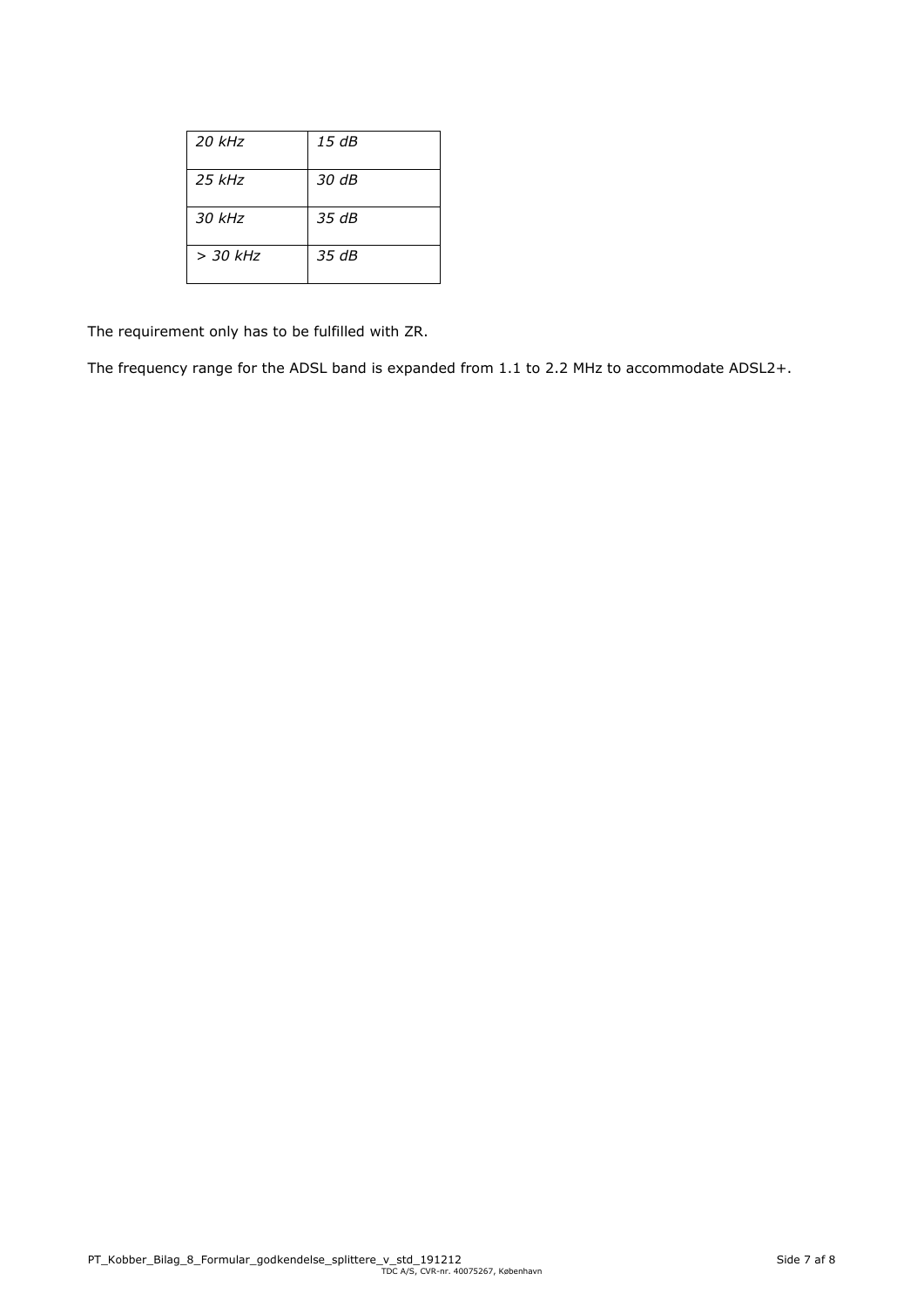| $20$ kHz   | 15 dB |
|------------|-------|
| $25$ kHz   | 30 dB |
| $30$ kHz   | 35 dB |
| $> 30$ kHz | 35 dB |

The requirement only has to be fulfilled with ZR.

The frequency range for the ADSL band is expanded from 1.1 to 2.2 MHz to accommodate ADSL2+.